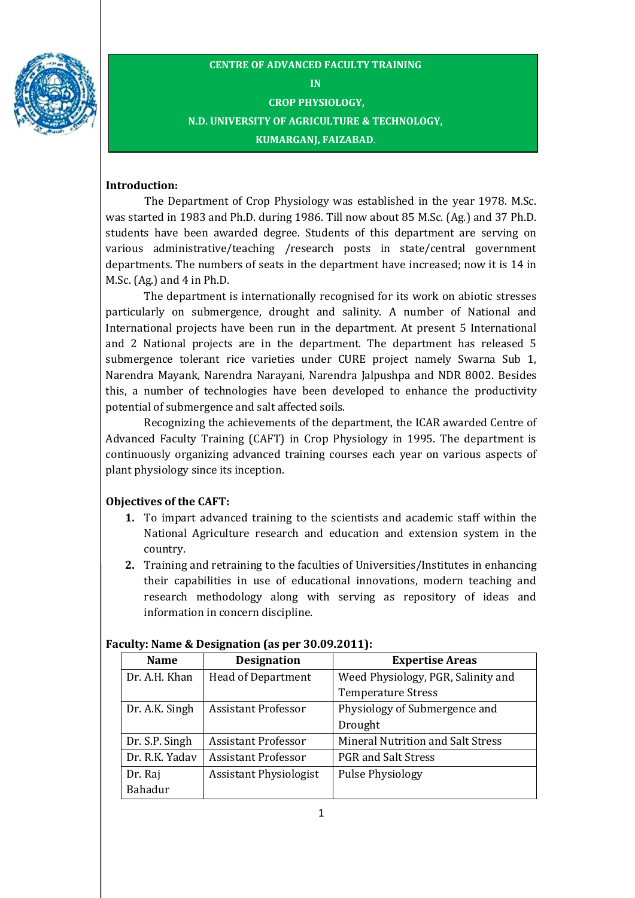

## **CENTRE OF ADVANCED FACULTY TRAINING IN**

**CROP PHYSIOLOGY, N.D. UNIVERSITY OF AGRICULTURE & TECHNOLOGY, KUMARGANJ, FAIZABAD**.

# **Introduction:**

The Department of Crop Physiology was established in the year 1978. M.Sc. was started in 1983 and Ph.D. during 1986. Till now about 85 M.Sc. (Ag.) and 37 Ph.D. students have been awarded degree. Students of this department are serving on various administrative/teaching /research posts in state/central government departments. The numbers of seats in the department have increased; now it is 14 in M.Sc. (Ag.) and 4 in Ph.D.

The department is internationally recognised for its work on abiotic stresses particularly on submergence, drought and salinity. A number of National and International projects have been run in the department. At present 5 International and 2 National projects are in the department. The department has released 5 submergence tolerant rice varieties under CURE project namely Swarna Sub 1, Narendra Mayank, Narendra Narayani, Narendra Jalpushpa and NDR 8002. Besides this, a number of technologies have been developed to enhance the productivity potential of submergence and salt affected soils.

Recognizing the achievements of the department, the ICAR awarded Centre of Advanced Faculty Training (CAFT) in Crop Physiology in 1995. The department is continuously organizing advanced training courses each year on various aspects of plant physiology since its inception.

# **Objectives of the CAFT:**

- **1.** To impart advanced training to the scientists and academic staff within the National Agriculture research and education and extension system in the country.
- **2.** Training and retraining to the faculties of Universities/Institutes in enhancing their capabilities in use of educational innovations, modern teaching and research methodology along with serving as repository of ideas and information in concern discipline.

| <b>Name</b>    | <b>Designation</b>            | <b>Expertise Areas</b>                   |  |  |  |
|----------------|-------------------------------|------------------------------------------|--|--|--|
| Dr. A.H. Khan  | <b>Head of Department</b>     | Weed Physiology, PGR, Salinity and       |  |  |  |
|                |                               | <b>Temperature Stress</b>                |  |  |  |
| Dr. A.K. Singh | <b>Assistant Professor</b>    | Physiology of Submergence and            |  |  |  |
|                |                               | Drought                                  |  |  |  |
| Dr. S.P. Singh | <b>Assistant Professor</b>    | <b>Mineral Nutrition and Salt Stress</b> |  |  |  |
| Dr. R.K. Yadav | <b>Assistant Professor</b>    | <b>PGR</b> and Salt Stress               |  |  |  |
| Dr. Raj        | <b>Assistant Physiologist</b> | Pulse Physiology                         |  |  |  |
| Bahadur        |                               |                                          |  |  |  |

## **Faculty: Name & Designation (as per 30.09.2011):**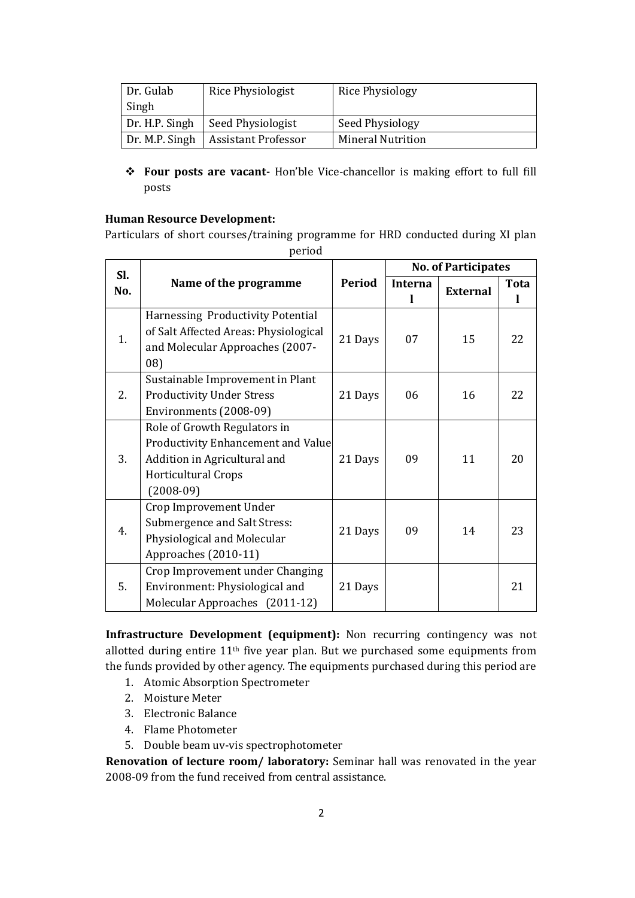| Dr. Gulab      | Rice Physiologist          | Rice Physiology          |
|----------------|----------------------------|--------------------------|
| Singh          |                            |                          |
| Dr. H.P. Singh | Seed Physiologist          | Seed Physiology          |
| Dr. M.P. Singh | <b>Assistant Professor</b> | <b>Mineral Nutrition</b> |

 **Four posts are vacant-** Hon'ble Vice-chancellor is making effort to full fill posts

## **Human Resource Development:**

Particulars of short courses/training programme for HRD conducted during XI plan period

| SI. |                                                                                                                                                 |         | <b>No. of Participates</b> |                 |      |
|-----|-------------------------------------------------------------------------------------------------------------------------------------------------|---------|----------------------------|-----------------|------|
| No. | Name of the programme                                                                                                                           | Period  | <b>Interna</b>             | <b>External</b> | Tota |
| 1.  | Harnessing Productivity Potential<br>of Salt Affected Areas: Physiological<br>and Molecular Approaches (2007-<br>(08)                           | 21 Days | 07                         | 15              | 22   |
| 2.  | Sustainable Improvement in Plant<br><b>Productivity Under Stress</b><br>Environments (2008-09)                                                  | 21 Days | 06                         | 16              | 22   |
| 3.  | Role of Growth Regulators in<br><b>Productivity Enhancement and Value</b><br>Addition in Agricultural and<br>Horticultural Crops<br>$(2008-09)$ | 21 Days | 09                         | 11              | 20   |
| 4.  | Crop Improvement Under<br>Submergence and Salt Stress:<br>Physiological and Molecular<br>Approaches (2010-11)                                   | 21 Days | 09                         | 14              | 23   |
| 5.  | Crop Improvement under Changing<br>Environment: Physiological and<br>Molecular Approaches (2011-12)                                             | 21 Days |                            |                 | 21   |

**Infrastructure Development (equipment):** Non recurring contingency was not allotted during entire 11th five year plan. But we purchased some equipments from the funds provided by other agency. The equipments purchased during this period are

- 1. Atomic Absorption Spectrometer
- 2. Moisture Meter
- 3. Electronic Balance
- 4. Flame Photometer
- 5. Double beam uv-vis spectrophotometer

**Renovation of lecture room/ laboratory:** Seminar hall was renovated in the year 2008-09 from the fund received from central assistance.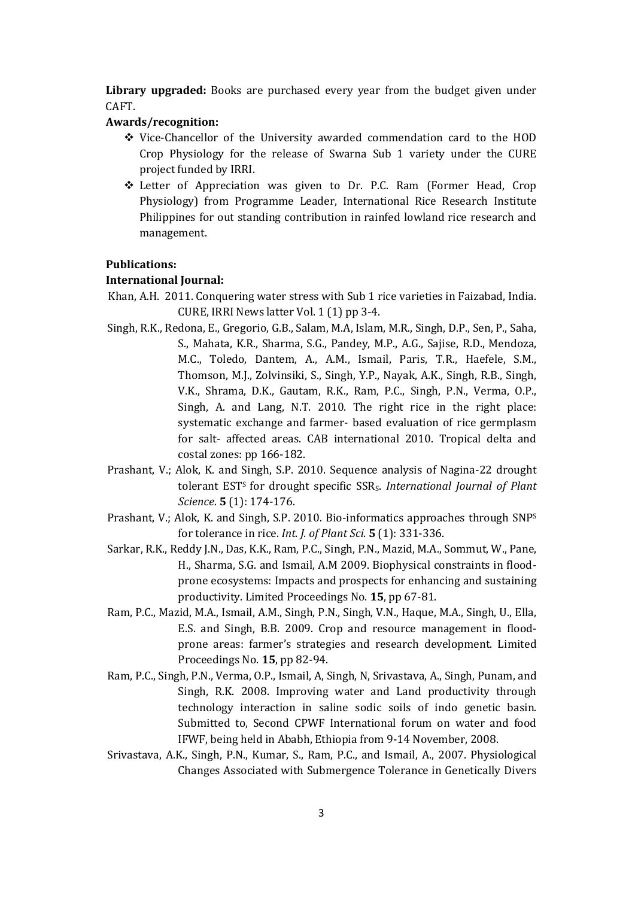**Library upgraded:** Books are purchased every year from the budget given under CAFT.

### **Awards/recognition:**

- $\div$  Vice-Chancellor of the University awarded commendation card to the HOD Crop Physiology for the release of Swarna Sub 1 variety under the CURE project funded by IRRI.
- Letter of Appreciation was given to Dr. P.C. Ram (Former Head, Crop Physiology) from Programme Leader, International Rice Research Institute Philippines for out standing contribution in rainfed lowland rice research and management.

#### **Publications:**

#### **International Journal:**

- Khan, A.H. 2011. Conquering water stress with Sub 1 rice varieties in Faizabad, India. CURE, IRRI News latter Vol. 1 (1) pp 3-4.
- Singh, R.K., Redona, E., Gregorio, G.B., Salam, M.A, Islam, M.R., Singh, D.P., Sen, P., Saha, S., Mahata, K.R., Sharma, S.G., Pandey, M.P., A.G., Sajise, R.D., Mendoza, M.C., Toledo, Dantem, A., A.M., Ismail, Paris, T.R., Haefele, S.M., Thomson, M.J., Zolvinsiki, S., Singh, Y.P., Nayak, A.K., Singh, R.B., Singh, V.K., Shrama, D.K., Gautam, R.K., Ram, P.C., Singh, P.N., Verma, O.P., Singh, A. and Lang, N.T. 2010. The right rice in the right place: systematic exchange and farmer- based evaluation of rice germplasm for salt- affected areas. CAB international 2010. Tropical delta and costal zones: pp 166-182.
- Prashant, V.; Alok, K. and Singh, S.P. 2010. Sequence analysis of Nagina-22 drought tolerant ESTS for drought specific SSRS. *International Journal of Plant Science*. **5** (1): 174-176.
- Prashant, V.; Alok, K. and Singh, S.P. 2010. Bio-informatics approaches through SNP<sup>S</sup> for tolerance in rice. *Int. J. of Plant Sci*. **5** (1): 331-336.
- Sarkar, R.K., Reddy J.N., Das, K.K., Ram, P.C., Singh, P.N., Mazid, M.A., Sommut, W., Pane, H., Sharma, S.G. and Ismail, A.M 2009. Biophysical constraints in floodprone ecosystems: Impacts and prospects for enhancing and sustaining productivity. Limited Proceedings No. **15**, pp 67-81.
- Ram, P.C., Mazid, M.A., Ismail, A.M., Singh, P.N., Singh, V.N., Haque, M.A., Singh, U., Ella, E.S. and Singh, B.B. 2009. Crop and resource management in floodprone areas: farmer's strategies and research development. Limited Proceedings No. **15**, pp 82-94.
- Ram, P.C., Singh, P.N., Verma, O.P., Ismail, A, Singh, N, Srivastava, A., Singh, Punam, and Singh, R.K. 2008. Improving water and Land productivity through technology interaction in saline sodic soils of indo genetic basin. Submitted to, Second CPWF International forum on water and food IFWF, being held in Ababh, Ethiopia from 9-14 November, 2008.
- Srivastava, A.K., Singh, P.N., Kumar, S., Ram, P.C., and Ismail, A., 2007. Physiological Changes Associated with Submergence Tolerance in Genetically Divers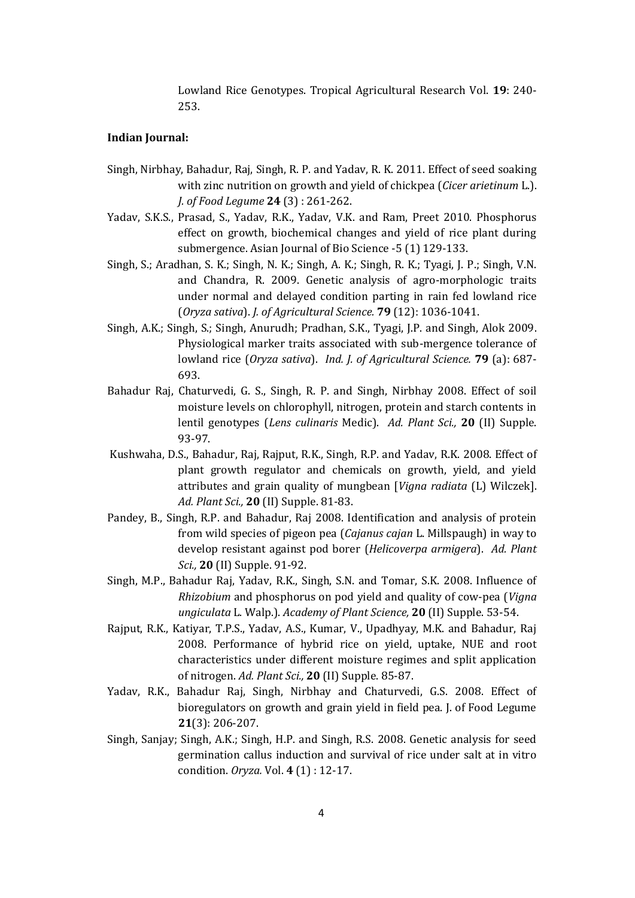Lowland Rice Genotypes. Tropical Agricultural Research Vol. **19**: 240- 253.

#### **Indian Journal:**

- Singh, Nirbhay, Bahadur, Raj, Singh, R. P. and Yadav, R. K. 2011. Effect of seed soaking with zinc nutrition on growth and yield of chickpea (*Cicer arietinum* L.). *J. of Food Legume* **24** (3) : 261-262.
- Yadav, S.K.S., Prasad, S., Yadav, R.K., Yadav, V.K. and Ram, Preet 2010. Phosphorus effect on growth, biochemical changes and yield of rice plant during submergence. Asian Journal of Bio Science -5 (1) 129-133.
- Singh, S.; Aradhan, S. K.; Singh, N. K.; Singh, A. K.; Singh, R. K.; Tyagi, J. P.; Singh, V.N. and Chandra, R. 2009. Genetic analysis of agro-morphologic traits under normal and delayed condition parting in rain fed lowland rice (*Oryza sativa*). *J. of Agricultural Science.* **79** (12): 1036-1041.
- Singh, A.K.; Singh, S.; Singh, Anurudh; Pradhan, S.K., Tyagi, J.P. and Singh, Alok 2009. Physiological marker traits associated with sub-mergence tolerance of lowland rice (*Oryza sativa*). *Ind. J. of Agricultural Science.* **79** (a): 687- 693.
- Bahadur Raj, Chaturvedi, G. S., Singh, R. P. and Singh, Nirbhay 2008. Effect of soil moisture levels on chlorophyll, nitrogen, protein and starch contents in lentil genotypes (*Lens culinaris* Medic). *Ad. Plant Sci.,* **20** (II) Supple. 93-97.
- Kushwaha, D.S., Bahadur, Raj, Rajput, R.K., Singh, R.P. and Yadav, R.K. 2008. Effect of plant growth regulator and chemicals on growth, yield, and yield attributes and grain quality of mungbean [*Vigna radiata* (L) Wilczek]. *Ad. Plant Sci.,* **20** (II) Supple. 81-83.
- Pandey, B., Singh, R.P. and Bahadur, Raj 2008. Identification and analysis of protein from wild species of pigeon pea (*Cajanus cajan* L. Millspaugh) in way to develop resistant against pod borer (*Helicoverpa armigera*). *Ad. Plant Sci.,* **20** (II) Supple. 91-92.
- Singh, M.P., Bahadur Raj, Yadav, R.K., Singh, S.N. and Tomar, S.K. 2008. Influence of *Rhizobium* and phosphorus on pod yield and quality of cow-pea (*Vigna ungiculata* L. Walp.). *Academy of Plant Science,* **20** (II) Supple. 53-54.
- Rajput, R.K., Katiyar, T.P.S., Yadav, A.S., Kumar, V., Upadhyay, M.K. and Bahadur, Raj 2008. Performance of hybrid rice on yield, uptake, NUE and root characteristics under different moisture regimes and split application of nitrogen. *Ad. Plant Sci.,* **20** (II) Supple. 85-87.
- Yadav, R.K., Bahadur Raj, Singh, Nirbhay and Chaturvedi, G.S. 2008. Effect of bioregulators on growth and grain yield in field pea. J. of Food Legume **21**(3): 206-207.
- Singh, Sanjay; Singh, A.K.; Singh, H.P. and Singh, R.S. 2008. Genetic analysis for seed germination callus induction and survival of rice under salt at in vitro condition. *Oryza.* Vol. **4** (1) : 12-17.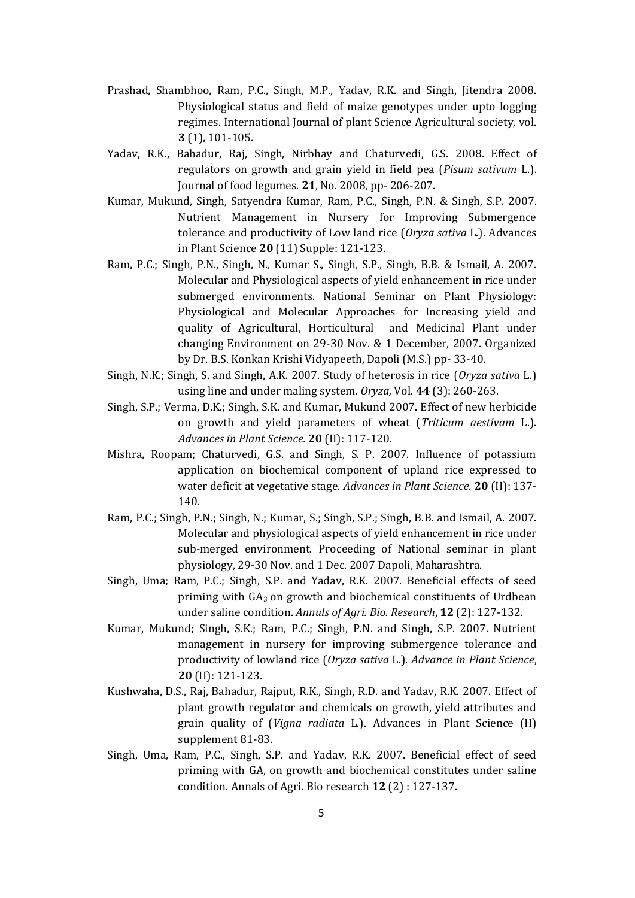- Prashad, Shambhoo, Ram, P.C., Singh, M.P., Yadav, R.K. and Singh, Jitendra 2008. Physiological status and field of maize genotypes under upto logging regimes. International Journal of plant Science Agricultural society, vol. **3** (1), 101-105.
- Yadav, R.K., Bahadur, Raj, Singh, Nirbhay and Chaturvedi, G.S. 2008. Effect of regulators on growth and grain yield in field pea (*Pisum sativum* L.). Journal of food legumes. **21**, No. 2008, pp- 206-207.
- Kumar, Mukund, Singh, Satyendra Kumar, Ram, P.C., Singh, P.N. & Singh, S.P. 2007. Nutrient Management in Nursery for Improving Submergence tolerance and productivity of Low land rice (*Oryza sativa* L.). Advances in Plant Science **20** (11) Supple: 121-123.
- Ram, P.C.; Singh, P.N., Singh, N., Kumar S., Singh, S.P., Singh, B.B. & Ismail, A. 2007. Molecular and Physiological aspects of yield enhancement in rice under submerged environments. National Seminar on Plant Physiology: Physiological and Molecular Approaches for Increasing yield and quality of Agricultural, Horticultural and Medicinal Plant under changing Environment on 29-30 Nov. & 1 December, 2007. Organized by Dr. B.S. Konkan Krishi Vidyapeeth, Dapoli (M.S.) pp- 33-40.
- Singh, N.K.; Singh, S. and Singh, A.K. 2007. Study of heterosis in rice (*Oryza sativa* L.) using line and under maling system. *Oryza,* Vol. **44** (3): 260-263.
- Singh, S.P.; Verma, D.K.; Singh, S.K. and Kumar, Mukund 2007. Effect of new herbicide on growth and yield parameters of wheat (*Triticum aestivam* L.). *Advances in Plant Science.* **20** (II): 117-120.
- Mishra, Roopam; Chaturvedi, G.S. and Singh, S. P. 2007. Influence of potassium application on biochemical component of upland rice expressed to water deficit at vegetative stage. *Advances in Plant Science.* **20** (II): 137- 140.
- Ram, P.C.; Singh, P.N.; Singh, N.; Kumar, S.; Singh, S.P.; Singh, B.B. and Ismail, A. 2007. Molecular and physiological aspects of yield enhancement in rice under sub-merged environment. Proceeding of National seminar in plant physiology, 29-30 Nov. and 1 Dec. 2007 Dapoli, Maharashtra.
- Singh, Uma; Ram, P.C.; Singh, S.P. and Yadav, R.K. 2007. Beneficial effects of seed priming with  $GA_3$  on growth and biochemical constituents of Urdbean under saline condition. *Annuls of Agri. Bio. Research*, **12** (2): 127-132.
- Kumar, Mukund; Singh, S.K.; Ram, P.C.; Singh, P.N. and Singh, S.P. 2007. Nutrient management in nursery for improving submergence tolerance and productivity of lowland rice (*Oryza sativa* L.). *Advance in Plant Science*, **20** (II): 121-123.
- Kushwaha, D.S., Raj, Bahadur, Rajput, R.K., Singh, R.D. and Yadav, R.K. 2007. Effect of plant growth regulator and chemicals on growth, yield attributes and grain quality of (*Vigna radiata* L.). Advances in Plant Science (II) supplement 81-83.
- Singh, Uma, Ram, P.C., Singh, S.P. and Yadav, R.K. 2007. Beneficial effect of seed priming with GA, on growth and biochemical constitutes under saline condition. Annals of Agri. Bio research **12** (2) : 127-137.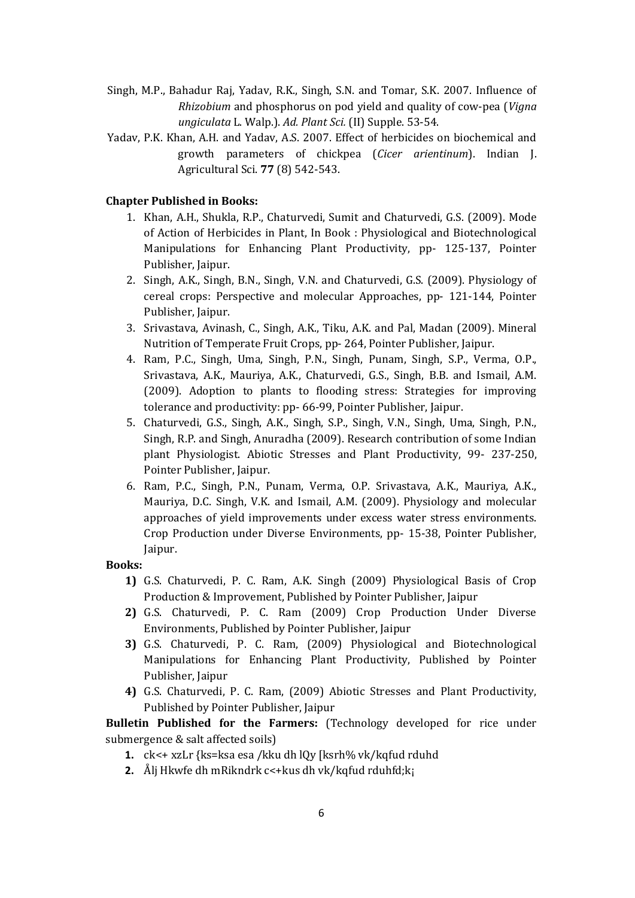- Singh, M.P., Bahadur Raj, Yadav, R.K., Singh, S.N. and Tomar, S.K. 2007. Influence of *Rhizobium* and phosphorus on pod yield and quality of cow-pea (*Vigna ungiculata* L. Walp.). *Ad. Plant Sci.* (II) Supple. 53-54.
- Yadav, P.K. Khan, A.H. and Yadav, A.S. 2007. Effect of herbicides on biochemical and growth parameters of chickpea (*Cicer arientinum*). Indian J. Agricultural Sci. **77** (8) 542-543.

### **Chapter Published in Books:**

- 1. Khan, A.H., Shukla, R.P., Chaturvedi, Sumit and Chaturvedi, G.S. (2009). Mode of Action of Herbicides in Plant, In Book : Physiological and Biotechnological Manipulations for Enhancing Plant Productivity, pp- 125-137, Pointer Publisher, Jaipur.
- 2. Singh, A.K., Singh, B.N., Singh, V.N. and Chaturvedi, G.S. (2009). Physiology of cereal crops: Perspective and molecular Approaches, pp- 121-144, Pointer Publisher, Jaipur.
- 3. Srivastava, Avinash, C., Singh, A.K., Tiku, A.K. and Pal, Madan (2009). Mineral Nutrition of Temperate Fruit Crops, pp- 264, Pointer Publisher, Jaipur.
- 4. Ram, P.C., Singh, Uma, Singh, P.N., Singh, Punam, Singh, S.P., Verma, O.P., Srivastava, A.K., Mauriya, A.K., Chaturvedi, G.S., Singh, B.B. and Ismail, A.M. (2009). Adoption to plants to flooding stress: Strategies for improving tolerance and productivity: pp- 66-99, Pointer Publisher, Jaipur.
- 5. Chaturvedi, G.S., Singh, A.K., Singh, S.P., Singh, V.N., Singh, Uma, Singh, P.N., Singh, R.P. and Singh, Anuradha (2009). Research contribution of some Indian plant Physiologist. Abiotic Stresses and Plant Productivity, 99- 237-250, Pointer Publisher, Jaipur.
- 6. Ram, P.C., Singh, P.N., Punam, Verma, O.P. Srivastava, A.K., Mauriya, A.K., Mauriya, D.C. Singh, V.K. and Ismail, A.M. (2009). Physiology and molecular approaches of yield improvements under excess water stress environments. Crop Production under Diverse Environments, pp- 15-38, Pointer Publisher, Jaipur.

### **Books:**

- **1)** G.S. Chaturvedi, P. C. Ram, A.K. Singh (2009) Physiological Basis of Crop Production & Improvement, Published by Pointer Publisher, Jaipur
- **2)** G.S. Chaturvedi, P. C. Ram (2009) Crop Production Under Diverse Environments, Published by Pointer Publisher, Jaipur
- **3)** G.S. Chaturvedi, P. C. Ram, (2009) Physiological and Biotechnological Manipulations for Enhancing Plant Productivity, Published by Pointer Publisher, Jaipur
- **4)** G.S. Chaturvedi, P. C. Ram, (2009) Abiotic Stresses and Plant Productivity, Published by Pointer Publisher, Jaipur

**Bulletin Published for the Farmers:** (Technology developed for rice under submergence & salt affected soils)

- **1.** ck<+ xzLr {ks=ksa esa /kku dh lQy [ksrh% vk/kqfud rduhd
- **2.** Ålj Hkwfe dh mRikndrk c<+kus dh vk/kqfud rduhfd;k¡